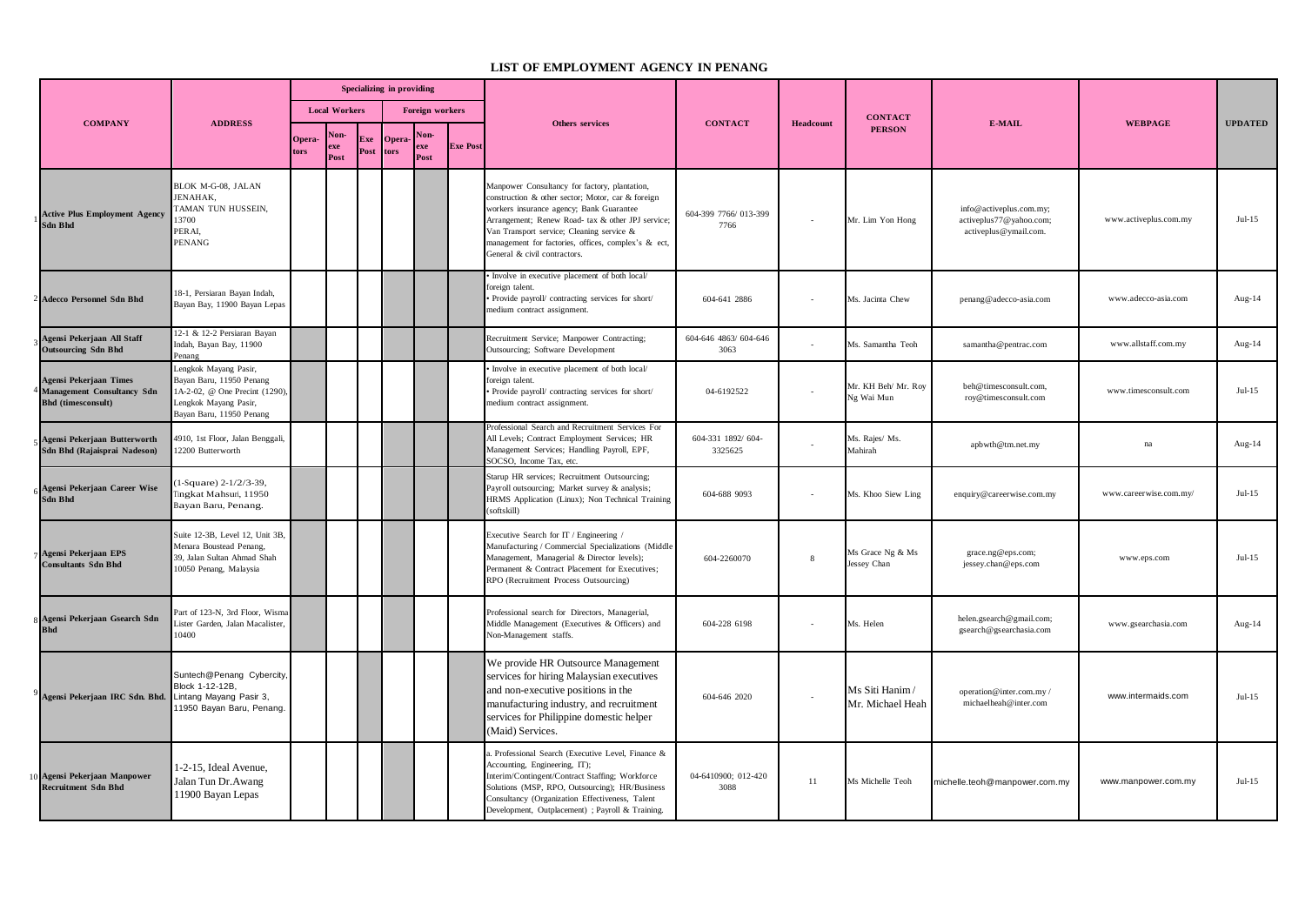## **LIST OF EMPLOYMENT AGENCY IN PENANG**

|                                                                                          |                                                                                                                                          |               |                            |             | Specializing in providing |                        |                 |                                                                                                                                                                                                                                                                                                                                         |                              |           |                                    | E-MAIL                                                                      |                        | <b>UPDATED</b> |
|------------------------------------------------------------------------------------------|------------------------------------------------------------------------------------------------------------------------------------------|---------------|----------------------------|-------------|---------------------------|------------------------|-----------------|-----------------------------------------------------------------------------------------------------------------------------------------------------------------------------------------------------------------------------------------------------------------------------------------------------------------------------------------|------------------------------|-----------|------------------------------------|-----------------------------------------------------------------------------|------------------------|----------------|
|                                                                                          |                                                                                                                                          |               | <b>Local Workers</b>       |             |                           | <b>Foreign workers</b> |                 |                                                                                                                                                                                                                                                                                                                                         |                              |           | <b>CONTACT</b>                     |                                                                             |                        |                |
| <b>COMPANY</b>                                                                           | <b>ADDRESS</b>                                                                                                                           | Opera<br>tors | lon<br>$_{\rm xe}$<br>Post | Exe<br>Post | Opera-<br>tors            | exe<br>Post            | <b>Exe Post</b> | <b>Others services</b>                                                                                                                                                                                                                                                                                                                  | <b>CONTACT</b>               | Headcount | <b>PERSON</b>                      |                                                                             | <b>WEBPAGE</b>         |                |
| <b>Active Plus Employment Agency</b><br><b>Sdn Bhd</b>                                   | BLOK M-G-08, JALAN<br>JENAHAK.<br><b>TAMAN TUN HUSSEIN,</b><br>13700<br>PERAI,<br>PENANG                                                 |               |                            |             |                           |                        |                 | Manpower Consultancy for factory, plantation,<br>construction & other sector; Motor, car & foreign<br>workers insurance agency; Bank Guarantee<br>Arrangement; Renew Road- tax & other JPJ service;<br>Van Transport service; Cleaning service &<br>management for factories, offices, complex's & ect,<br>General & civil contractors. | 604-399 7766/013-399<br>7766 |           | Mr. Lim Yon Hong                   | info@activeplus.com.my;<br>activeplus77@yahoo.com;<br>activeplus@ymail.com. | www.activeplus.com.my  | $Jul-15$       |
| <b>Adecco Personnel Sdn Bhd</b>                                                          | 18-1, Persiaran Bayan Indah,<br>Bayan Bay, 11900 Bayan Lepas                                                                             |               |                            |             |                           |                        |                 | Involve in executive placement of both local/<br>foreign talent.<br>· Provide payroll/ contracting services for short/<br>medium contract assignment.                                                                                                                                                                                   | 604-641 2886                 |           | Ms. Jacinta Chew                   | penang@adecco-asia.com                                                      | www.adecco-asia.com    | Aug- $14$      |
| Agensi Pekerjaan All Staff<br><b>Outsourcing Sdn Bhd</b>                                 | 12-1 & 12-2 Persiaran Bayan<br>ndah, Bayan Bay, 11900<br>enang                                                                           |               |                            |             |                           |                        |                 | Recruitment Service; Manpower Contracting;<br>Outsourcing; Software Development                                                                                                                                                                                                                                                         | 604-646 4863/604-646<br>3063 |           | Ms. Samantha Teoh                  | samantha@pentrac.com                                                        | www.allstaff.com.my    | Aug- $14$      |
| Agensi Pekerjaan Times<br><b>Management Consultancy Sdn</b><br><b>Bhd</b> (timesconsult) | Lengkok Mayang Pasir,<br>Bayan Baru, 11950 Penang<br>1A-2-02, @ One Precint (1290),<br>Lengkok Mayang Pasir,<br>Bayan Baru, 11950 Penang |               |                            |             |                           |                        |                 | Involve in executive placement of both local/<br>oreign talent.<br>Provide payroll/ contracting services for short/<br>medium contract assignment.                                                                                                                                                                                      | 04-6192522                   | $\sim$    | Mr. KH Beh/ Mr. Roy<br>Ng Wai Mun  | beh@timesconsult.com,<br>roy@timesconsult.com                               | www.timesconsult.com   | $Jul-15$       |
| Agensi Pekerjaan Butterworth<br>Sdn Bhd (Rajaisprai Nadeson)                             | 4910, 1st Floor, Jalan Benggali,<br>12200 Butterworth                                                                                    |               |                            |             |                           |                        |                 | Professional Search and Recruitment Services For<br>All Levels; Contract Employment Services; HR<br>Management Services; Handling Payroll, EPF,<br>SOCSO, Income Tax, etc.                                                                                                                                                              | 604-331 1892/604-<br>3325625 |           | Ms. Rajes/ Ms.<br>Mahirah          | apbwth@tm.net.my                                                            | na                     | Aug-14         |
| Agensi Pekerjaan Career Wise<br><b>Sdn Bhd</b>                                           | 1-Square) 2-1/2/3-39,<br>ingkat Mahsuri, 11950<br>Bayan Baru, Penang.                                                                    |               |                            |             |                           |                        |                 | Starup HR services; Recruitment Outsourcing;<br>Payroll outsourcing; Market survey & analysis;<br>HRMS Application (Linux); Non Technical Training<br>(softskill)                                                                                                                                                                       | 604-688 9093                 | $\sim$    | Ms. Khoo Siew Ling                 | enquiry@careerwise.com.my                                                   | www.careerwise.com.my/ | $Jul-15$       |
| Agensi Pekerjaan EPS<br><b>Consultants Sdn Bhd</b>                                       | Suite 12-3B, Level 12, Unit 3B,<br>Menara Boustead Penang,<br>9, Jalan Sultan Ahmad Shah<br>10050 Penang, Malaysia                       |               |                            |             |                           |                        |                 | Executive Search for IT / Engineering /<br>Manufacturing / Commercial Specializations (Middle<br>Management, Managerial & Director levels);<br>Permanent & Contract Placement for Executives;<br>RPO (Recruitment Process Outsourcing)                                                                                                  | 604-2260070                  | 8         | Ms Grace Ng & Ms<br>Jessey Chan    | grace.ng@eps.com;<br>jessey.chan@eps.com                                    | www.eps.com            | $Jul-15$       |
| Agensi Pekerjaan Gsearch Sdn<br><b>Bhd</b>                                               | Part of 123-N, 3rd Floor, Wisma<br>Lister Garden, Jalan Macalister,<br>10400                                                             |               |                            |             |                           |                        |                 | Professional search for Directors, Managerial,<br>Middle Management (Executives & Officers) and<br>Non-Management staffs.                                                                                                                                                                                                               | 604-228 6198                 | $\sim$    | Ms. Helen                          | helen.gsearch@gmail.com;<br>gsearch@gsearchasia.com                         | www.gsearchasia.com    | Aug- $14$      |
| Agensi Pekerjaan IRC Sdn. Bhd.                                                           | Suntech@Penang Cybercity,<br>Block 1-12-12B,<br>Lintang Mayang Pasir 3,<br>11950 Bayan Baru, Penang.                                     |               |                            |             |                           |                        |                 | We provide HR Outsource Management<br>services for hiring Malaysian executives<br>and non-executive positions in the<br>manufacturing industry, and recruitment<br>services for Philippine domestic helper<br>(Maid) Services.                                                                                                          | 604-646 2020                 |           | Ms Siti Hanim/<br>Mr. Michael Heah | operation@inter.com.my/<br>michaelheah@inter.com                            | www.intermaids.com     | $Jul-15$       |
| 0 Agensi Pekerjaan Manpower<br><b>Recruitment Sdn Bhd</b>                                | -2-15, Ideal Avenue,<br>Jalan Tun Dr. Awang<br>11900 Bayan Lepas                                                                         |               |                            |             |                           |                        |                 | Professional Search (Executive Level, Finance &<br>Accounting, Engineering, IT);<br>Interim/Contingent/Contract Staffing; Workforce<br>Solutions (MSP, RPO, Outsourcing); HR/Business<br>Consultancy (Organization Effectiveness, Talent<br>Development, Outplacement) ; Payroll & Training.                                            | 04-6410900; 012-420<br>3088  | 11        | Ms Michelle Teoh                   | michelle.teoh@manpower.com.my                                               | www.manpower.com.my    | $Jul-15$       |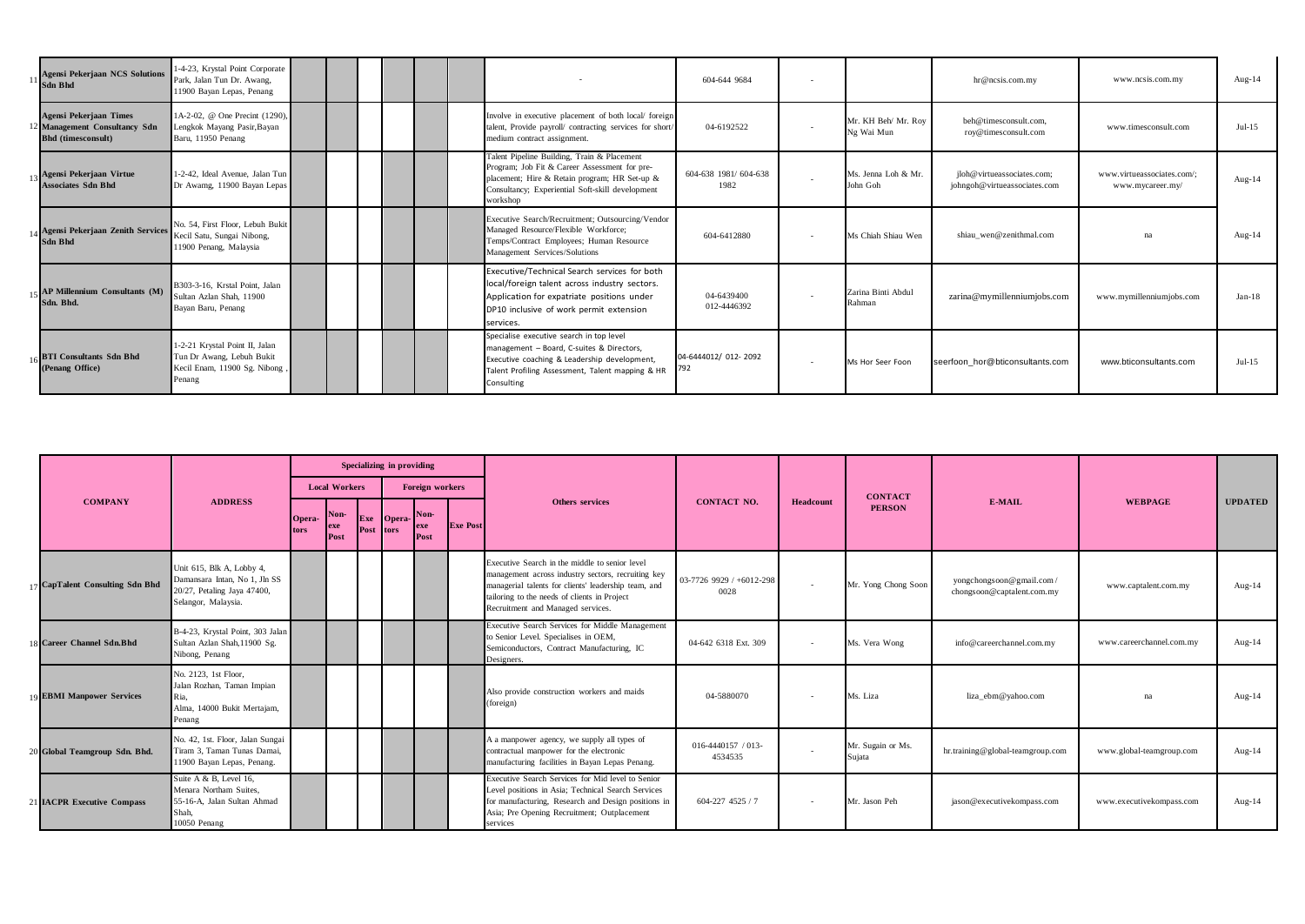| <b>Agensi Pekerjaan NCS Solutions</b><br><b>Sdn Bhd</b>                                         | 1-4-23, Krystal Point Corporate<br>Park. Jalan Tun Dr. Awang.<br>11900 Bayan Lepas, Penang            |  |  |  |                                                                                                                                                                                                               | 604-644 9684                 | $\overline{\phantom{a}}$ |                                   | hr@ncsis.com.my                                            | www.ncsis.com.my                               | Aug- $14$ |
|-------------------------------------------------------------------------------------------------|-------------------------------------------------------------------------------------------------------|--|--|--|---------------------------------------------------------------------------------------------------------------------------------------------------------------------------------------------------------------|------------------------------|--------------------------|-----------------------------------|------------------------------------------------------------|------------------------------------------------|-----------|
| <b>Agensi Pekerjaan Times</b><br><b>Management Consultancy Sdn</b><br><b>Bhd</b> (timesconsult) | 1A-2-02. @ One Precint (1290).<br>Lengkok Mayang Pasir, Bayan<br>Baru, 11950 Penang                   |  |  |  | Involve in executive placement of both local/ foreign<br>talent, Provide payroll/ contracting services for short/<br>medium contract assignment.                                                              | 04-6192522                   |                          | Mr. KH Beh/ Mr. Roy<br>Ng Wai Mun | beh@timesconsult.com.<br>rov@timesconsult.com              | www.timesconsult.com                           | $Jul-15$  |
| Agensi Pekerjaan Virtue<br><b>Associates Sdn Bhd</b>                                            | 1-2-42. Ideal Avenue. Jalan Tun<br>Dr Awamg, 11900 Bayan Lepas                                        |  |  |  | Talent Pipeline Building, Train & Placement<br>Program; Job Fit & Career Assessment for pre-<br>placement; Hire & Retain program; HR Set-up &<br>Consultancy; Experiential Soft-skill development<br>workshop | 604-638 1981/604-638<br>1982 |                          | Ms. Jenna Loh & Mr.<br>John Goh   | iloh@virtueassociates.com:<br>johngoh@virtueassociates.com | www.virtueassociates.com/:<br>www.mycareer.my/ | Aug- $14$ |
| <b>Agensi Pekerjaan Zenith Services</b><br><b>Sdn Bhd</b>                                       | No. 54. First Floor, Lebuh Bukit<br>Kecil Satu, Sungai Nibong,<br>11900 Penang, Malaysia              |  |  |  | Executive Search/Recruitment; Outsourcing/Vendor<br>Managed Resource/Flexible Workforce;<br>Temps/Contract Employees; Human Resource<br>Management Services/Solutions                                         | 604-6412880                  |                          | Ms Chiah Shiau Wen                | shiau wen@zenithmal.com                                    | na                                             | Aug- $14$ |
| <b>AP Millennium Consultants (M)</b><br>Sdn. Bhd.                                               | B303-3-16. Krstal Point, Jalan<br>Sultan Azlan Shah, 11900<br>Bayan Baru, Penang                      |  |  |  | Executive/Technical Search services for both<br>local/foreign talent across industry sectors.<br>Application for expatriate positions under<br>DP10 inclusive of work permit extension<br>services.           | 04-6439400<br>012-4446392    |                          | Zarina Binti Abdul<br>Rahman      | zarina@mymillenniumjobs.com                                | www.mymillenniumiobs.com                       | $Jan-18$  |
| <b>BTI Consultants Sdn Bhd</b><br>(Penang Office)                                               | 1-2-21 Krystal Point II, Jalan<br>Tun Dr Awang, Lebuh Bukit<br>Kecil Enam, 11900 Sg. Nibong<br>Penang |  |  |  | Specialise executive search in top level<br>management - Board, C-suites & Directors,<br>Executive coaching & Leadership development,<br>Talent Profiling Assessment, Talent mapping & HR<br>Consulting       | 04-6444012/ 012- 2092        |                          | Ms Hor Seer Foon                  | seerfoon hor@bticonsultants.com                            | www.bticonsultants.com                         | $Jul-15$  |

| <b>COMPANY</b>                      | <b>ADDRESS</b>                                                                                                   |                |                      |           | Specializing in providing |                     |                 |                                                                                                                                                                                                                                                   |                                  |           |                             |                                                        |                          |                |
|-------------------------------------|------------------------------------------------------------------------------------------------------------------|----------------|----------------------|-----------|---------------------------|---------------------|-----------------|---------------------------------------------------------------------------------------------------------------------------------------------------------------------------------------------------------------------------------------------------|----------------------------------|-----------|-----------------------------|--------------------------------------------------------|--------------------------|----------------|
|                                     |                                                                                                                  |                | <b>Local Workers</b> |           |                           | Foreign workers     |                 |                                                                                                                                                                                                                                                   |                                  |           | <b>CONTACT</b>              |                                                        |                          |                |
|                                     |                                                                                                                  | Opera-<br>tors | Non-<br>exe<br>Post  | Post tors | Exe Opera-                | Non-<br>exe<br>Post | <b>Exe Post</b> | <b>Others services</b>                                                                                                                                                                                                                            | <b>CONTACT NO.</b>               | Headcount | <b>PERSON</b>               | E-MAIL                                                 | <b>WEBPAGE</b>           | <b>UPDATED</b> |
| <b>CapTalent Consulting Sdn Bhd</b> | Unit 615, Blk A, Lobby 4,<br>Damansara Intan, No 1, Jln SS<br>20/27, Petaling Jaya 47400,<br>Selangor, Malaysia. |                |                      |           |                           |                     |                 | Executive Search in the middle to senior level<br>management across industry sectors, recruiting key<br>managerial talents for clients' leadership team, and<br>tailoring to the needs of clients in Project<br>Recruitment and Managed services. | 03-7726 9929 / +6012-298<br>0028 |           | Mr. Yong Chong Soon         | yongchongsoon@gmail.com/<br>chongsoon@captalent.com.my | www.captalent.com.my     | Aug- $14$      |
| 18 Career Channel Sdn.Bhd           | B-4-23, Krystal Point, 303 Jalan<br>Sultan Azlan Shah, 11900 Sg.<br>Nibong, Penang                               |                |                      |           |                           |                     |                 | Executive Search Services for Middle Management<br>to Senior Level. Specialises in OEM,<br>Semiconductors, Contract Manufacturing, IC<br>Designers.                                                                                               | 04-642 6318 Ext. 309             |           | Ms. Vera Wong               | info@careerchannel.com.my                              | www.careerchannel.com.my | Aug- $14$      |
| <b>EBMI Manpower Services</b>       | No. 2123, 1st Floor,<br>Jalan Rozhan, Taman Impian<br>Ria.<br>Alma. 14000 Bukit Mertaiam.<br>Penang              |                |                      |           |                           |                     |                 | Also provide construction workers and maids<br>(foreign)                                                                                                                                                                                          | 04-5880070                       |           | Ms. Liza                    | liza ebm@yahoo.com                                     | na                       | Aug- $14$      |
| <b>Global Teamgroup Sdn. Bhd.</b>   | No. 42, 1st. Floor, Jalan Sungai<br>Tiram 3. Taman Tunas Damai.<br>11900 Bayan Lepas, Penang.                    |                |                      |           |                           |                     |                 | A a manpower agency, we supply all types of<br>contractual manpower for the electronic<br>manufacturing facilities in Bayan Lepas Penang.                                                                                                         | 016-4440157 / 013-<br>4534535    |           | Mr. Sugain or Ms.<br>Sujata | hr.training@global-teamgroup.com                       | www.global-teamgroup.com | Aug- $14$      |
| <b>IACPR Executive Compass</b>      | Suite A & B, Level 16.<br>Menara Northam Suites.<br>55-16-A. Jalan Sultan Ahmad<br>Shah.<br>10050 Penang         |                |                      |           |                           |                     |                 | Executive Search Services for Mid level to Senior<br>Level positions in Asia; Technical Search Services<br>for manufacturing, Research and Design positions in<br>Asia; Pre Opening Recruitment; Outplacement<br>services                         | 604-227 4525 / 7                 |           | Mr. Jason Peh               | jason@executivekompass.com                             | www.executivekompass.com | Aug- $14$      |